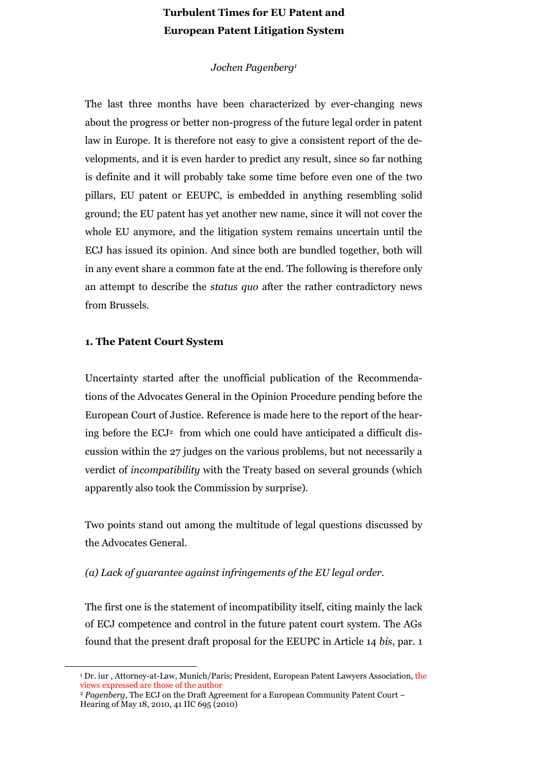# **Turbulent Times for EU Patent and European Patent Litigation System**

# *Jochen Pagenberg<sup>1</sup>*

The last three months have been characterized by ever-changing news about the progress or better non-progress of the future legal order in patent law in Europe. It is therefore not easy to give a consistent report of the developments, and it is even harder to predict any result, since so far nothing is definite and it will probably take some time before even one of the two pillars, EU patent or EEUPC, is embedded in anything resembling solid ground; the EU patent has yet another new name, since it will not cover the whole EU anymore, and the litigation system remains uncertain until the ECJ has issued its opinion. And since both are bundled together, both will in any event share a common fate at the end. The following is therefore only an attempt to describe the *status quo* after the rather contradictory news from Brussels.

#### **1. The Patent Court System**

 $\overline{a}$ 

Uncertainty started after the unofficial publication of the Recommendations of the Advocates General in the Opinion Procedure pending before the European Court of Justice. Reference is made here to the report of the hearing before the ECJ<sup>2</sup> from which one could have anticipated a difficult discussion within the 27 judges on the various problems, but not necessarily a verdict of *incompatibility* with the Treaty based on several grounds (which apparently also took the Commission by surprise).

Two points stand out among the multitude of legal questions discussed by the Advocates General.

# *(a) Lack of guarantee against infringements of the EU legal order.*

The first one is the statement of incompatibility itself, citing mainly the lack of ECJ competence and control in the future patent court system. The AGs found that the present draft proposal for the EEUPC in Article 14 *bis*, par. 1

<sup>1</sup> Dr. iur , Attorney-at-Law, Munich/Paris; President, European Patent Lawyers Association, the views expressed are those of the author

<sup>2</sup> *Pagenberg*, The ECJ on the Draft Agreement for a European Community Patent Court – Hearing of May 18, 2010, 41 IIC 695 (2010)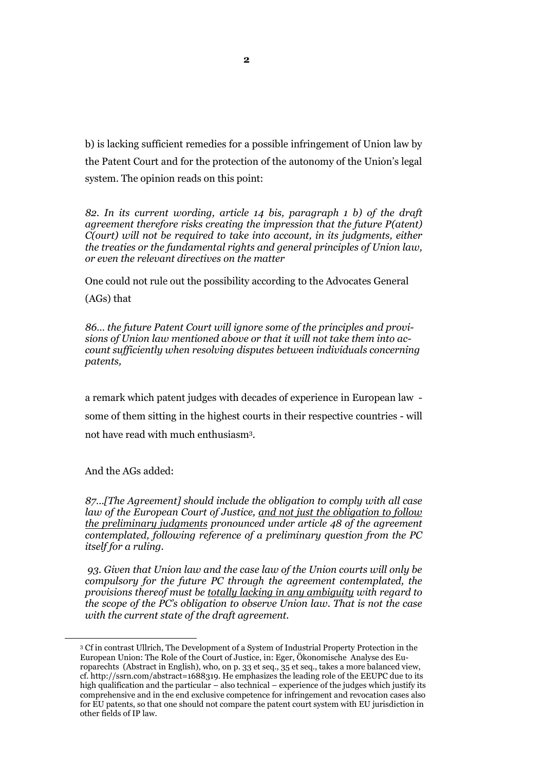b) is lacking sufficient remedies for a possible infringement of Union law by the Patent Court and for the protection of the autonomy of the Union"s legal system. The opinion reads on this point:

*82. In its current wording, article 14 bis, paragraph 1 b) of the draft agreement therefore risks creating the impression that the future P(atent) C(ourt) will not be required to take into account, in its judgments, either the treaties or the fundamental rights and general principles of Union law, or even the relevant directives on the matter*

One could not rule out the possibility according to the Advocates General (AGs) that

*86… the future Patent Court will ignore some of the principles and provisions of Union law mentioned above or that it will not take them into account sufficiently when resolving disputes between individuals concerning patents,* 

a remark which patent judges with decades of experience in European law some of them sitting in the highest courts in their respective countries - will not have read with much enthusiasm<sup>3</sup> .

And the AGs added:

 $\overline{a}$ 

*87…[The Agreement] should include the obligation to comply with all case law of the European Court of Justice, and not just the obligation to follow the preliminary judgments pronounced under article 48 of the agreement contemplated, following reference of a preliminary question from the PC itself for a ruling.*

*93. Given that Union law and the case law of the Union courts will only be compulsory for the future PC through the agreement contemplated, the provisions thereof must be totally lacking in any ambiguity with regard to the scope of the PC's obligation to observe Union law. That is not the case with the current state of the draft agreement.* 

<sup>3</sup> Cf in contrast Ullrich, The Development of a System of Industrial Property Protection in the European Union: The Role of the Court of Justice, in: Eger, Ökonomische Analyse des Europarechts (Abstract in English), who, on p. 33 et seq., 35 et seq., takes a more balanced view, cf. http://ssrn.com/abstract=1688319. He emphasizes the leading role of the EEUPC due to its high qualification and the particular – also technical – experience of the judges which justify its comprehensive and in the end exclusive competence for infringement and revocation cases also for EU patents, so that one should not compare the patent court system with EU jurisdiction in other fields of IP law.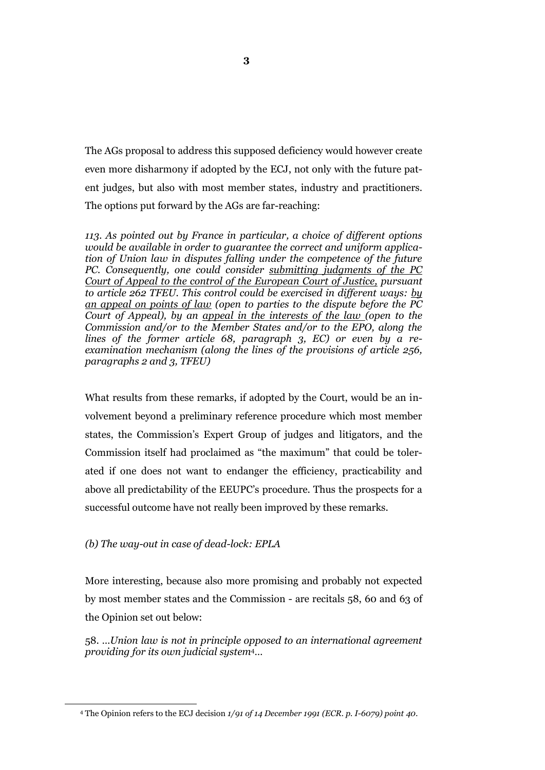The AGs proposal to address this supposed deficiency would however create even more disharmony if adopted by the ECJ, not only with the future patent judges, but also with most member states, industry and practitioners. The options put forward by the AGs are far-reaching:

*113. As pointed out by France in particular, a choice of different options would be available in order to guarantee the correct and uniform application of Union law in disputes falling under the competence of the future PC. Consequently, one could consider submitting judgments of the PC Court of Appeal to the control of the European Court of Justice, pursuant to article 262 TFEU. This control could be exercised in different ways: by an appeal on points of law (open to parties to the dispute before the PC Court of Appeal), by an appeal in the interests of the law (open to the Commission and/or to the Member States and/or to the EPO, along the lines of the former article 68, paragraph 3, EC) or even by a reexamination mechanism (along the lines of the provisions of article 256, paragraphs 2 and 3, TFEU)* 

What results from these remarks, if adopted by the Court, would be an involvement beyond a preliminary reference procedure which most member states, the Commission"s Expert Group of judges and litigators, and the Commission itself had proclaimed as "the maximum" that could be tolerated if one does not want to endanger the efficiency, practicability and above all predictability of the EEUPC"s procedure. Thus the prospects for a successful outcome have not really been improved by these remarks.

# *(b) The way-out in case of dead-lock: EPLA*

 $\overline{a}$ 

More interesting, because also more promising and probably not expected by most member states and the Commission - are recitals 58, 60 and 63 of the Opinion set out below:

58. …*Union law is not in principle opposed to an international agreement providing for its own judicial system*4…

<sup>4</sup> The Opinion refers to the ECJ decision *1/91 of 14 December 1991 (ECR. p. I-6079) point 40.*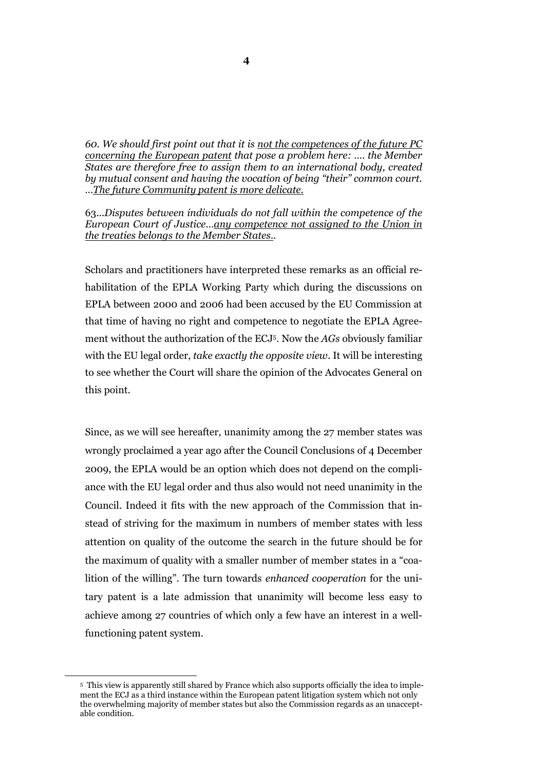*60. We should first point out that it is not the competences of the future PC concerning the European patent that pose a problem here: …. the Member States are therefore free to assign them to an international body, created by mutual consent and having the vocation of being "their" common court. …The future Community patent is more delicate.*

63.*..Disputes between individuals do not fall within the competence of the European Court of Justice…any competence not assigned to the Union in the treaties belongs to the Member States..*

Scholars and practitioners have interpreted these remarks as an official rehabilitation of the EPLA Working Party which during the discussions on EPLA between 2000 and 2006 had been accused by the EU Commission at that time of having no right and competence to negotiate the EPLA Agreement without the authorization of the ECJ 5 . Now the *AGs* obviously familiar with the EU legal order, *take exactly the opposite view*. It will be interesting to see whether the Court will share the opinion of the Advocates General on this point.

Since, as we will see hereafter, unanimity among the 27 member states was wrongly proclaimed a year ago after the Council Conclusions of 4 December 2009, the EPLA would be an option which does not depend on the compliance with the EU legal order and thus also would not need unanimity in the Council. Indeed it fits with the new approach of the Commission that instead of striving for the maximum in numbers of member states with less attention on quality of the outcome the search in the future should be for the maximum of quality with a smaller number of member states in a "coalition of the willing". The turn towards *enhanced cooperation* for the unitary patent is a late admission that unanimity will become less easy to achieve among 27 countries of which only a few have an interest in a wellfunctioning patent system.

 $\overline{a}$ 

<sup>5</sup> This view is apparently still shared by France which also supports officially the idea to implement the ECJ as a third instance within the European patent litigation system which not only the overwhelming majority of member states but also the Commission regards as an unacceptable condition.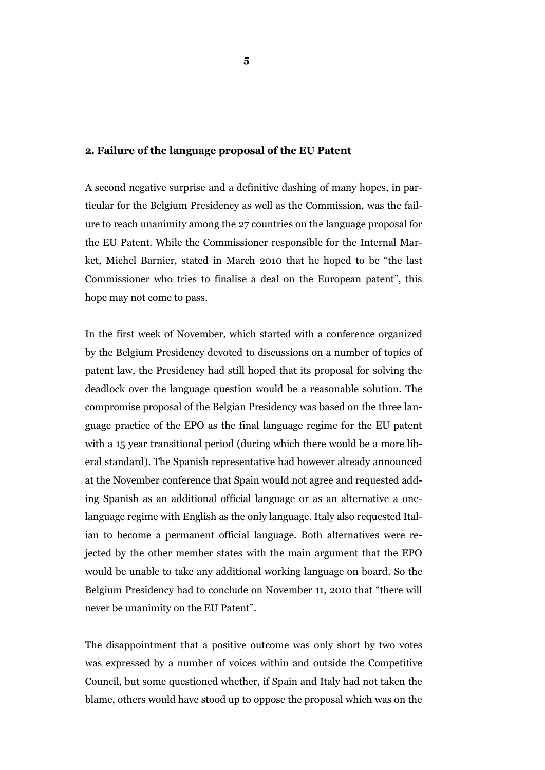#### **2. Failure of the language proposal of the EU Patent**

A second negative surprise and a definitive dashing of many hopes, in particular for the Belgium Presidency as well as the Commission, was the failure to reach unanimity among the 27 countries on the language proposal for the EU Patent. While the Commissioner responsible for the Internal Market, Michel Barnier, stated in March 2010 that he hoped to be "the last Commissioner who tries to finalise a deal on the European patent", this hope may not come to pass.

In the first week of November, which started with a conference organized by the Belgium Presidency devoted to discussions on a number of topics of patent law, the Presidency had still hoped that its proposal for solving the deadlock over the language question would be a reasonable solution. The compromise proposal of the Belgian Presidency was based on the three language practice of the EPO as the final language regime for the EU patent with a 15 year transitional period (during which there would be a more liberal standard). The Spanish representative had however already announced at the November conference that Spain would not agree and requested adding Spanish as an additional official language or as an alternative a onelanguage regime with English as the only language. Italy also requested Italian to become a permanent official language. Both alternatives were rejected by the other member states with the main argument that the EPO would be unable to take any additional working language on board. So the Belgium Presidency had to conclude on November 11, 2010 that "there will never be unanimity on the EU Patent".

The disappointment that a positive outcome was only short by two votes was expressed by a number of voices within and outside the Competitive Council, but some questioned whether, if Spain and Italy had not taken the blame, others would have stood up to oppose the proposal which was on the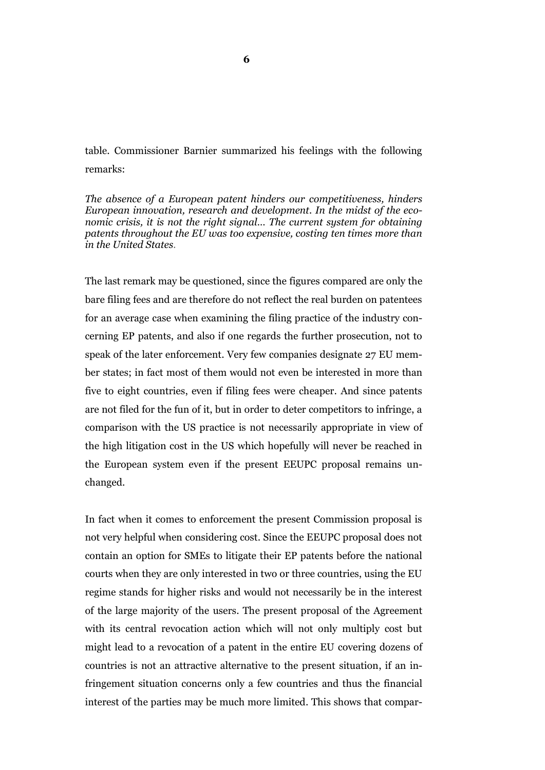table. Commissioner Barnier summarized his feelings with the following remarks:

*The absence of a European patent hinders our competitiveness, hinders European innovation, research and development. In the midst of the economic crisis, it is not the right signal… The current system for obtaining patents throughout the EU was too expensive, costing ten times more than in the United States.* 

The last remark may be questioned, since the figures compared are only the bare filing fees and are therefore do not reflect the real burden on patentees for an average case when examining the filing practice of the industry concerning EP patents, and also if one regards the further prosecution, not to speak of the later enforcement. Very few companies designate 27 EU member states; in fact most of them would not even be interested in more than five to eight countries, even if filing fees were cheaper. And since patents are not filed for the fun of it, but in order to deter competitors to infringe, a comparison with the US practice is not necessarily appropriate in view of the high litigation cost in the US which hopefully will never be reached in the European system even if the present EEUPC proposal remains unchanged.

In fact when it comes to enforcement the present Commission proposal is not very helpful when considering cost. Since the EEUPC proposal does not contain an option for SMEs to litigate their EP patents before the national courts when they are only interested in two or three countries, using the EU regime stands for higher risks and would not necessarily be in the interest of the large majority of the users. The present proposal of the Agreement with its central revocation action which will not only multiply cost but might lead to a revocation of a patent in the entire EU covering dozens of countries is not an attractive alternative to the present situation, if an infringement situation concerns only a few countries and thus the financial interest of the parties may be much more limited. This shows that compar-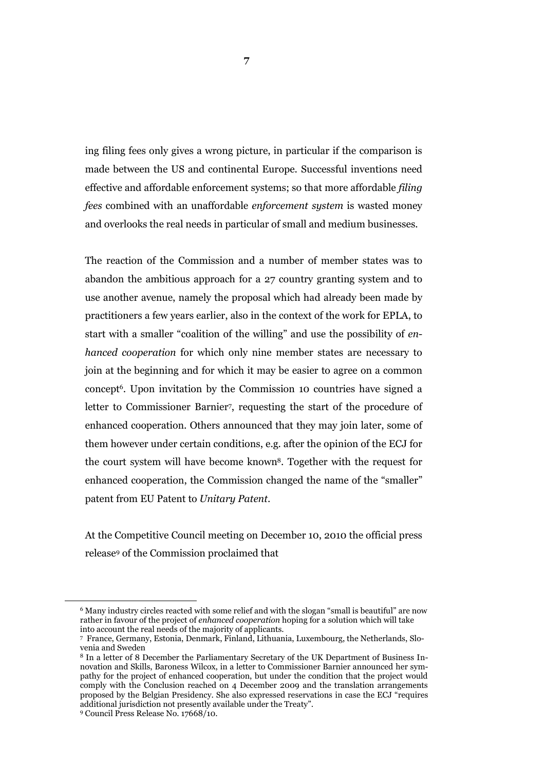ing filing fees only gives a wrong picture, in particular if the comparison is made between the US and continental Europe. Successful inventions need effective and affordable enforcement systems; so that more affordable *filing fees* combined with an unaffordable *enforcement system* is wasted money and overlooks the real needs in particular of small and medium businesses.

The reaction of the Commission and a number of member states was to abandon the ambitious approach for a 27 country granting system and to use another avenue, namely the proposal which had already been made by practitioners a few years earlier, also in the context of the work for EPLA, to start with a smaller "coalition of the willing" and use the possibility of *enhanced cooperation* for which only nine member states are necessary to join at the beginning and for which it may be easier to agree on a common concept<sup>6</sup> . Upon invitation by the Commission 10 countries have signed a letter to Commissioner Barnier<sup>7</sup>, requesting the start of the procedure of enhanced cooperation. Others announced that they may join later, some of them however under certain conditions, e.g. after the opinion of the ECJ for the court system will have become known8. Together with the request for enhanced cooperation, the Commission changed the name of the "smaller" patent from EU Patent to *Unitary Patent*.

At the Competitive Council meeting on December 10, 2010 the official press release<sup>9</sup> of the Commission proclaimed that

 $\overline{a}$ 

<sup>6</sup> Many industry circles reacted with some relief and with the slogan "small is beautiful" are now rather in favour of the project of *enhanced cooperation* hoping for a solution which will take into account the real needs of the majority of applicants.

<sup>7</sup> France, Germany, Estonia, Denmark, Finland, Lithuania, Luxembourg, the Netherlands, Slovenia and Sweden

<sup>8</sup> In a letter of 8 December the Parliamentary Secretary of the UK Department of Business Innovation and Skills, Baroness Wilcox, in a letter to Commissioner Barnier announced her sympathy for the project of enhanced cooperation, but under the condition that the project would comply with the Conclusion reached on 4 December 2009 and the translation arrangements proposed by the Belgian Presidency. She also expressed reservations in case the ECJ "requires additional jurisdiction not presently available under the Treaty".

<sup>9</sup> Council Press Release No. 17668/10.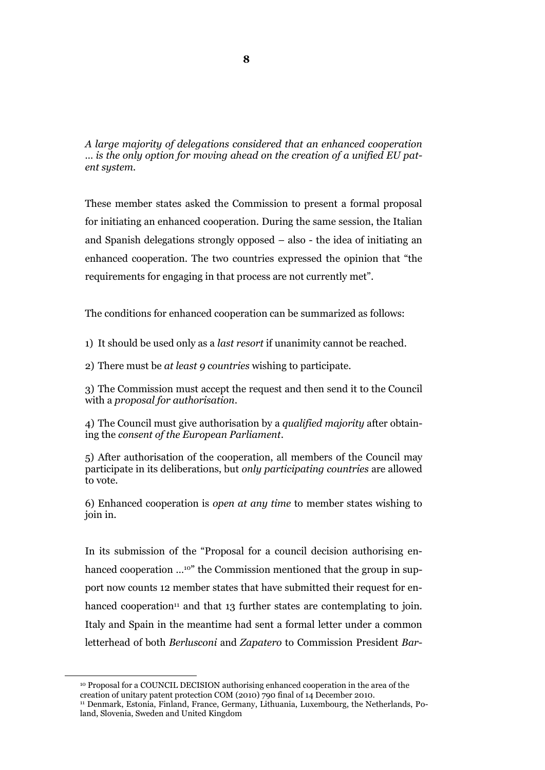*A large majority of delegations considered that an enhanced cooperation … is the only option for moving ahead on the creation of a unified EU patent system.* 

These member states asked the Commission to present a formal proposal for initiating an enhanced cooperation. During the same session, the Italian and Spanish delegations strongly opposed – also - the idea of initiating an enhanced cooperation. The two countries expressed the opinion that "the requirements for engaging in that process are not currently met".

The conditions for enhanced cooperation can be summarized as follows:

1) It should be used only as a *last resort* if unanimity cannot be reached.

2) There must be *at least 9 countries* wishing to participate.

3) The Commission must accept the request and then send it to the Council with a *proposal for authorisation*.

4) The Council must give authorisation by a *qualified majority* after obtaining the *consent of the European Parliament*.

5) After authorisation of the cooperation, all members of the Council may participate in its deliberations, but *only participating countries* are allowed to vote.

6) Enhanced cooperation is *open at any time* to member states wishing to join in.

In its submission of the "Proposal for a council decision authorising enhanced cooperation ...<sup>10"</sup> the Commission mentioned that the group in support now counts 12 member states that have submitted their request for enhanced cooperation<sup>11</sup> and that 13 further states are contemplating to join. Italy and Spain in the meantime had sent a formal letter under a common letterhead of both *Berlusconi* and *Zapatero* to Commission President *Bar-*

 $\overline{a}$ 

<sup>10</sup> Proposal for a COUNCIL DECISION authorising enhanced cooperation in the area of the creation of unitary patent protection COM (2010) 790 final of 14 December 2010. <sup>11</sup> Denmark, Estonia, Finland, France, Germany, Lithuania, Luxembourg, the Netherlands, Poland, Slovenia, Sweden and United Kingdom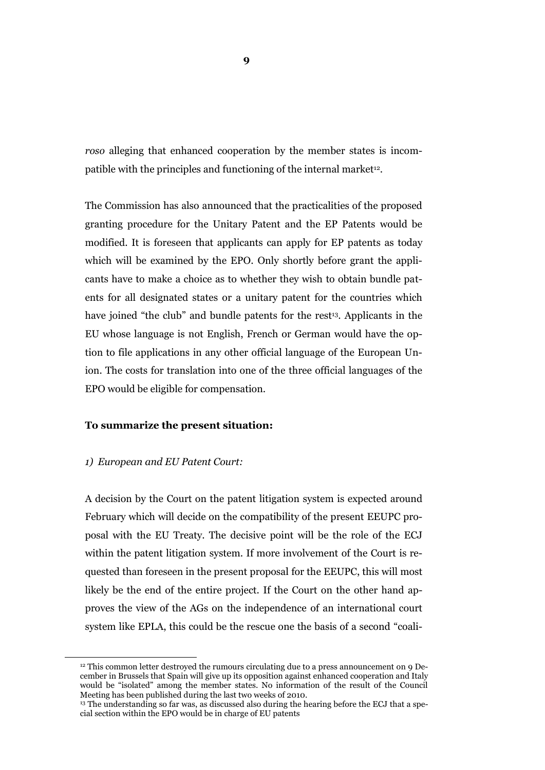*roso* alleging that enhanced cooperation by the member states is incompatible with the principles and functioning of the internal market<sup>12</sup>.

The Commission has also announced that the practicalities of the proposed granting procedure for the Unitary Patent and the EP Patents would be modified. It is foreseen that applicants can apply for EP patents as today which will be examined by the EPO. Only shortly before grant the applicants have to make a choice as to whether they wish to obtain bundle patents for all designated states or a unitary patent for the countries which have joined "the club" and bundle patents for the rest<sup>13</sup>. Applicants in the EU whose language is not English, French or German would have the option to file applications in any other official language of the European Union. The costs for translation into one of the three official languages of the EPO would be eligible for compensation.

## **To summarize the present situation:**

#### *1) European and EU Patent Court:*

 $\overline{a}$ 

A decision by the Court on the patent litigation system is expected around February which will decide on the compatibility of the present EEUPC proposal with the EU Treaty. The decisive point will be the role of the ECJ within the patent litigation system. If more involvement of the Court is requested than foreseen in the present proposal for the EEUPC, this will most likely be the end of the entire project. If the Court on the other hand approves the view of the AGs on the independence of an international court system like EPLA, this could be the rescue one the basis of a second "coali-

 $12$  This common letter destroyed the rumours circulating due to a press announcement on 9 December in Brussels that Spain will give up its opposition against enhanced cooperation and Italy would be "isolated" among the member states. No information of the result of the Council Meeting has been published during the last two weeks of 2010.

<sup>&</sup>lt;sup>13</sup> The understanding so far was, as discussed also during the hearing before the ECJ that a special section within the EPO would be in charge of EU patents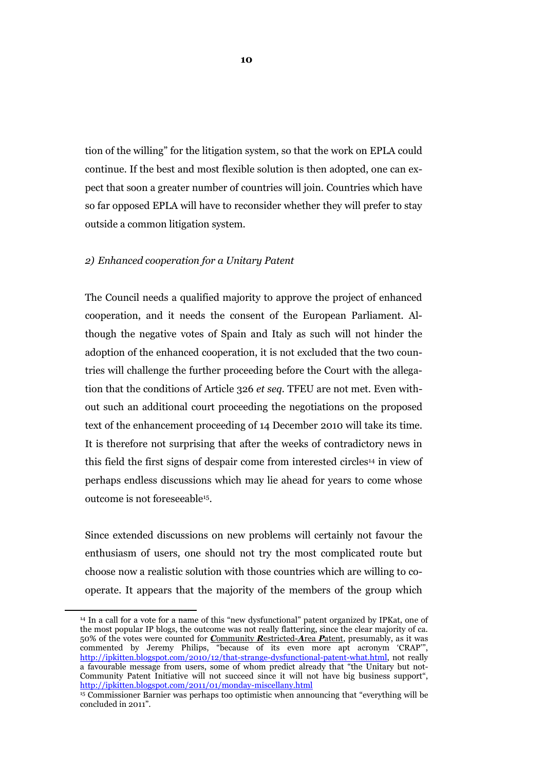tion of the willing" for the litigation system, so that the work on EPLA could continue. If the best and most flexible solution is then adopted, one can expect that soon a greater number of countries will join. Countries which have so far opposed EPLA will have to reconsider whether they will prefer to stay outside a common litigation system.

#### *2) Enhanced cooperation for a Unitary Patent*

 $\overline{a}$ 

The Council needs a qualified majority to approve the project of enhanced cooperation, and it needs the consent of the European Parliament. Although the negative votes of Spain and Italy as such will not hinder the adoption of the enhanced cooperation, it is not excluded that the two countries will challenge the further proceeding before the Court with the allegation that the conditions of Article 326 *et seq.* TFEU are not met. Even without such an additional court proceeding the negotiations on the proposed text of the enhancement proceeding of 14 December 2010 will take its time. It is therefore not surprising that after the weeks of contradictory news in this field the first signs of despair come from interested circles<sup>14</sup> in view of perhaps endless discussions which may lie ahead for years to come whose outcome is not foreseeable<sup>15</sup> .

Since extended discussions on new problems will certainly not favour the enthusiasm of users, one should not try the most complicated route but choose now a realistic solution with those countries which are willing to cooperate. It appears that the majority of the members of the group which

<sup>14</sup> In a call for a vote for a name of this "new dysfunctional" patent organized by IPKat, one of the most popular IP blogs, the outcome was not really flattering, since the clear majority of ca. 50% of the votes were counted for *C*ommunity *R*estricted-*A*rea *P*atent, presumably, as it was commented by Jeremy Philips, "because of its even more apt acronym "CRAP"", [http://ipkitten.blogspot.com/2010/12/that-strange-dysfunctional-patent-what.html,](http://ipkitten.blogspot.com/2010/12/that-strange-dysfunctional-patent-what.html) not really a favourable message from users, some of whom predict already that "the Unitary but not-Community Patent Initiative will not succeed since it will not have big business support", http://ipkitten.blogspot.com/2011/01/monday-miscellany.html

<sup>15</sup> Commissioner Barnier was perhaps too optimistic when announcing that "everything will be concluded in 2011".